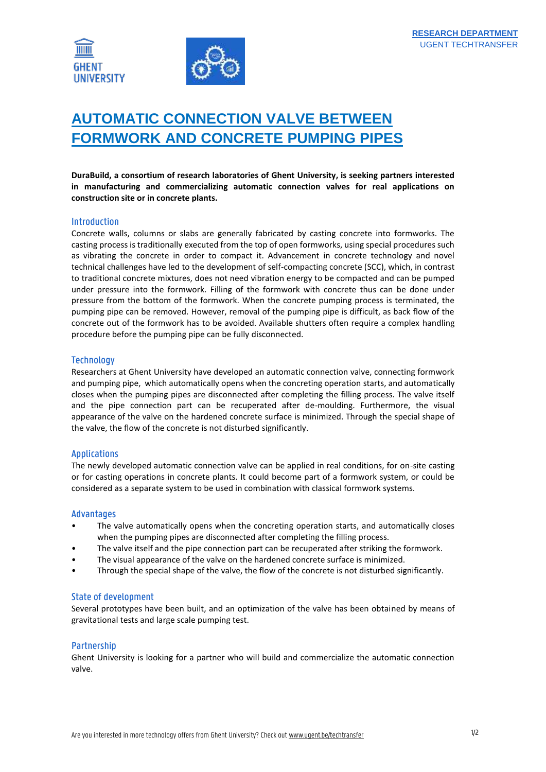

# **AUTOMATIC CONNECTION VALVE BETWEEN FORMWORK AND CONCRETE PUMPING PIPES**

**DuraBuild, a consortium of research laboratories of Ghent University, is seeking partners interested in manufacturing and commercializing automatic connection valves for real applications on construction site or in concrete plants.**

#### Introduction

Concrete walls, columns or slabs are generally fabricated by casting concrete into formworks. The casting process is traditionally executed from the top of open formworks, using special procedures such as vibrating the concrete in order to compact it. Advancement in concrete technology and novel technical challenges have led to the development of self-compacting concrete (SCC), which, in contrast to traditional concrete mixtures, does not need vibration energy to be compacted and can be pumped under pressure into the formwork. Filling of the formwork with concrete thus can be done under pressure from the bottom of the formwork. When the concrete pumping process is terminated, the pumping pipe can be removed. However, removal of the pumping pipe is difficult, as back flow of the concrete out of the formwork has to be avoided. Available shutters often require a complex handling procedure before the pumping pipe can be fully disconnected.

## **Technology**

Researchers at Ghent University have developed an automatic connection valve, connecting formwork and pumping pipe, which automatically opens when the concreting operation starts, and automatically closes when the pumping pipes are disconnected after completing the filling process. The valve itself and the pipe connection part can be recuperated after de-moulding. Furthermore, the visual appearance of the valve on the hardened concrete surface is minimized. Through the special shape of the valve, the flow of the concrete is not disturbed significantly.

# Applications

The newly developed automatic connection valve can be applied in real conditions, for on-site casting or for casting operations in concrete plants. It could become part of a formwork system, or could be considered as a separate system to be used in combination with classical formwork systems.

#### Advantages

- The valve automatically opens when the concreting operation starts, and automatically closes when the pumping pipes are disconnected after completing the filling process.
- The valve itself and the pipe connection part can be recuperated after striking the formwork.
- The visual appearance of the valve on the hardened concrete surface is minimized.
- Through the special shape of the valve, the flow of the concrete is not disturbed significantly.

#### State of development

Several prototypes have been built, and an optimization of the valve has been obtained by means of gravitational tests and large scale pumping test.

#### Partnership

Ghent University is looking for a partner who will build and commercialize the automatic connection valve.